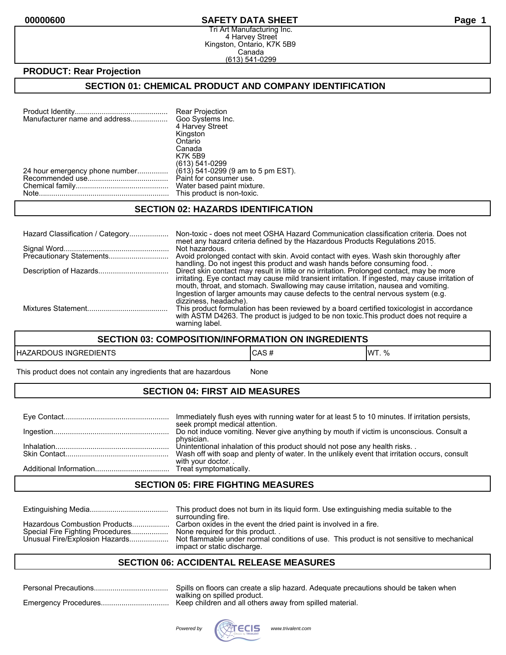#### **00000600 SAFETY DATA SHEET Page 1**

Tri Art Manufacturing Inc. 4 Harvey Street Kingston, Ontario, K7K 5B9 Canada (613) 541-0299

### **PRODUCT: Rear Projection**

## **SECTION 01: CHEMICAL PRODUCT AND COMPANY IDENTIFICATION**

| Manufacturer name and address  | Rear Projection<br>Goo Systems Inc.<br>4 Harvey Street<br>Kingston<br>Ontario<br>Canada<br><b>K7K 5B9</b><br>(613) 541-0299 |
|--------------------------------|-----------------------------------------------------------------------------------------------------------------------------|
| 24 hour emergency phone number | (613) 541-0299 (9 am to 5 pm EST).                                                                                          |
|                                | Paint for consumer use.                                                                                                     |
|                                | Water based paint mixture.                                                                                                  |
|                                | This product is non-toxic.                                                                                                  |

#### **SECTION 02: HAZARDS IDENTIFICATION**

| Hazard Classification / Category | Non-toxic - does not meet OSHA Hazard Communication classification criteria. Does not<br>meet any hazard criteria defined by the Hazardous Products Regulations 2015.                                                                                                                                                                                                    |
|----------------------------------|--------------------------------------------------------------------------------------------------------------------------------------------------------------------------------------------------------------------------------------------------------------------------------------------------------------------------------------------------------------------------|
|                                  | Not hazardous.<br>Avoid prolonged contact with skin. Avoid contact with eyes. Wash skin thoroughly after<br>handling. Do not ingest this product and wash hands before consuming food.                                                                                                                                                                                   |
|                                  | Direct skin contact may result in little or no irritation. Prolonged contact, may be more<br>irritating. Eye contact may cause mild transient irritation. If ingested, may cause irritation of<br>mouth, throat, and stomach. Swallowing may cause irritation, nausea and vomiting.<br>Ingestion of larger amounts may cause defects to the central nervous system (e.g. |
|                                  | dizziness, headache).<br>This product formulation has been reviewed by a board certified toxicologist in accordance<br>with ASTM D4263. The product is judged to be non toxic. This product does not require a<br>warning label.                                                                                                                                         |

#### **SECTION 03: COMPOSITION/INFORMATION ON INGREDIENTS**

| EDIENTS      | . E        | 11MT |
|--------------|------------|------|
| HAZARDOUS    | טרש        | 0/2  |
| <b>INGRE</b> | $\bm{\pi}$ | 1.70 |

This product does not contain any ingredients that are hazardous Mone

### **SECTION 04: FIRST AID MEASURES**

| Immediately flush eyes with running water for at least 5 to 10 minutes. If irritation persists,<br>seek prompt medical attention. |
|-----------------------------------------------------------------------------------------------------------------------------------|
| Do not induce vomiting. Never give anything by mouth if victim is unconscious. Consult a                                          |
| physician.<br>Unintentional inhalation of this product should not pose any health risks                                           |
| Wash off with soap and plenty of water. In the unlikely event that irritation occurs, consult<br>with your doctor                 |
|                                                                                                                                   |

#### **SECTION 05: FIRE FIGHTING MEASURES**

|                                                                                                     | This product does not burn in its liquid form. Use extinguishing media suitable to the<br>surrounding fire.                                                                                                                     |
|-----------------------------------------------------------------------------------------------------|---------------------------------------------------------------------------------------------------------------------------------------------------------------------------------------------------------------------------------|
| Hazardous Combustion Products<br>Special Fire Fighting Procedures<br>Unusual Fire/Explosion Hazards | Carbon oxides in the event the dried paint is involved in a fire.<br>None required for this product<br>Not flammable under normal conditions of use. This product is not sensitive to mechanical<br>impact or static discharge. |

### **SECTION 06: ACCIDENTAL RELEASE MEASURES**

| Spills on floors can create a slip hazard. Adequate precautions should be taken when |
|--------------------------------------------------------------------------------------|
| walking on spilled product.                                                          |

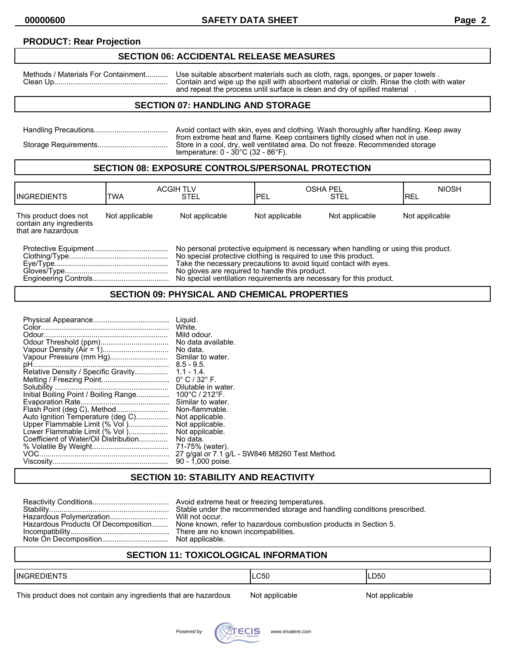## **PRODUCT: Rear Projection**

## **SECTION 06: ACCIDENTAL RELEASE MEASURES**

Methods / Materials For Containment........... Use suitable absorbent materials such as cloth, rags, sponges, or paper towels . Clean Up....................................................... Contain and wipe up the spill with absorbent material or cloth. Rinse the cloth with water and repeat the process until surface is clean and dry of spilled material .

## **SECTION 07: HANDLING AND STORAGE**

| Avoid contact with skin, eyes and clothing. Wash thoroughly after handling. Keep away<br>from extreme heat and flame. Keep containers tightly closed when not in use. |
|-----------------------------------------------------------------------------------------------------------------------------------------------------------------------|
| Store in a cool, dry, well ventilated area. Do not freeze. Recommended storage<br>temperature: $0 - 30^{\circ}$ C (32 - 86 $^{\circ}$ F).                             |

#### **SECTION 08: EXPOSURE CONTROLS/PERSONAL PROTECTION**

| <b>INGREDIENTS</b>                                                     | <b>TWA</b>     | <b>ACGIH TLV</b><br><b>STEL</b>                                                                                                                                                                                                                                              | IPEL           | <b>OSHA PEL</b><br><b>STEL</b> | <b>NIOSH</b><br>IREL |
|------------------------------------------------------------------------|----------------|------------------------------------------------------------------------------------------------------------------------------------------------------------------------------------------------------------------------------------------------------------------------------|----------------|--------------------------------|----------------------|
| This product does not<br>contain any ingredients<br>that are hazardous | Not applicable | Not applicable                                                                                                                                                                                                                                                               | Not applicable | Not applicable                 | Not applicable       |
|                                                                        |                | No personal protective equipment is necessary when handling or using this product.<br>No special protective clothing is required to use this product.<br>Take the necessary precautions to avoid liquid contact with eves.<br>No gloves are required to handle this product. |                |                                |                      |

Engineering Controls..................................... No special ventilation requirements are necessary for this product.

#### **SECTION 09: PHYSICAL AND CHEMICAL PROPERTIES**

## **SECTION 10: STABILITY AND REACTIVITY**

|  | Stable under the recommended storage and handling conditions prescribed.<br>Hazardous Products Of Decomposition None known, refer to hazardous combustion products in Section 5. |
|--|----------------------------------------------------------------------------------------------------------------------------------------------------------------------------------|
|--|----------------------------------------------------------------------------------------------------------------------------------------------------------------------------------|

## **SECTION 11: TOXICOLOGICAL INFORMATION**

| <b>INGREDIENTS</b> | .C50 | LD <sub>50</sub> |
|--------------------|------|------------------|
|                    |      |                  |

This product does not contain any ingredients that are hazardous Not applicable Not applicable

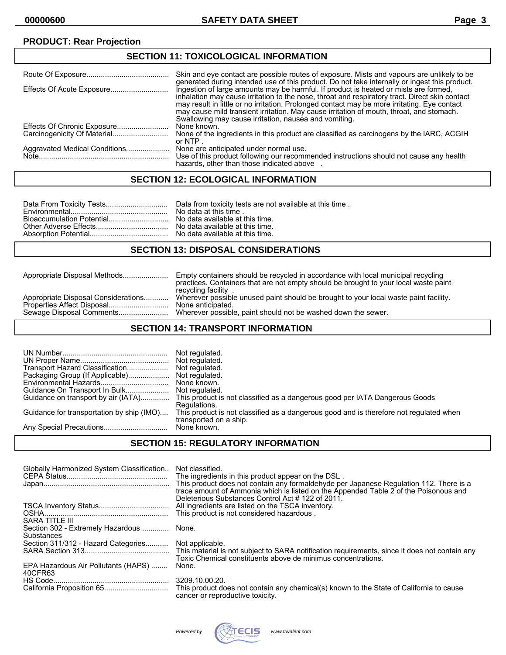## **PRODUCT: Rear Projection**

| <b>SECTION 11: TOXICOLOGICAL INFORMATION</b> |                                                                                                                                                                                                                                                                                                                                                                                                                                             |  |
|----------------------------------------------|---------------------------------------------------------------------------------------------------------------------------------------------------------------------------------------------------------------------------------------------------------------------------------------------------------------------------------------------------------------------------------------------------------------------------------------------|--|
|                                              | Skin and eye contact are possible routes of exposure. Mists and vapours are unlikely to be<br>generated during intended use of this product. Do not take internally or ingest this product.                                                                                                                                                                                                                                                 |  |
|                                              | Ingestion of large amounts may be harmful. If product is heated or mists are formed,<br>inhalation may cause irritation to the nose, throat and respiratory tract. Direct skin contact<br>may result in little or no irritation. Prolonged contact may be more irritating. Eye contact<br>may cause mild transient irritation. May cause irritation of mouth, throat, and stomach.<br>Swallowing may cause irritation, nausea and vomiting. |  |
|                                              | None known.                                                                                                                                                                                                                                                                                                                                                                                                                                 |  |
|                                              | None of the ingredients in this product are classified as carcinogens by the IARC, ACGIH<br>or NTP.                                                                                                                                                                                                                                                                                                                                         |  |
| Aggravated Medical Conditions                | None are anticipated under normal use.<br>Use of this product following our recommended instructions should not cause any health<br>hazards, other than those indicated above                                                                                                                                                                                                                                                               |  |

#### **SECTION 12: ECOLOGICAL INFORMATION**

#### **SECTION 13: DISPOSAL CONSIDERATIONS**

Appropriate Disposal Methods...................... Empty containers should be recycled in accordance with local municipal recycling practices. Containers that are not empty should be brought to your local waste paint recycling facility . Wherever possible unused paint should be brought to your local waste paint facility.<br>None anticipated. Properties Affect Disposal............................. None anticipated. Wherever possible, paint should not be washed down the sewer.

#### **SECTION 14: TRANSPORT INFORMATION**

| Transport Hazard Classification<br>Packaging Group (If Applicable)<br>Guidance for transportation by ship (IMO) | Not regulated.<br>Not regulated.<br>Not regulated.<br>None known.<br>Guidance on transport by air (IATA) This product is not classified as a dangerous good per IATA Dangerous Goods<br>Regulations.<br>This product is not classified as a dangerous good and is therefore not regulated when<br>transported on a ship. |
|-----------------------------------------------------------------------------------------------------------------|--------------------------------------------------------------------------------------------------------------------------------------------------------------------------------------------------------------------------------------------------------------------------------------------------------------------------|
|                                                                                                                 | None known.                                                                                                                                                                                                                                                                                                              |

#### **SECTION 15: REGULATORY INFORMATION**

| Globally Harmonized System Classification              | Not classified.<br>The ingredients in this product appear on the DSL.<br>This product does not contain any formaldehyde per Japanese Regulation 112. There is a<br>trace amount of Ammonia which is listed on the Appended Table 2 of the Poisonous and |
|--------------------------------------------------------|---------------------------------------------------------------------------------------------------------------------------------------------------------------------------------------------------------------------------------------------------------|
| SARA TITLE III                                         | Deleterious Substances Control Act #122 of 2011.<br>All ingredients are listed on the TSCA inventory.<br>This product is not considered hazardous.                                                                                                      |
| Section 302 - Extremely Hazardous  None.<br>Substances |                                                                                                                                                                                                                                                         |
| Section 311/312 - Hazard Categories Not applicable.    | Toxic Chemical constituents above de minimus concentrations.                                                                                                                                                                                            |
| EPA Hazardous Air Pollutants (HAPS)<br>40CFR63         | None.                                                                                                                                                                                                                                                   |
|                                                        | 3209.10.00.20.<br>This product does not contain any chemical(s) known to the State of California to cause<br>cancer or reproductive toxicity.                                                                                                           |